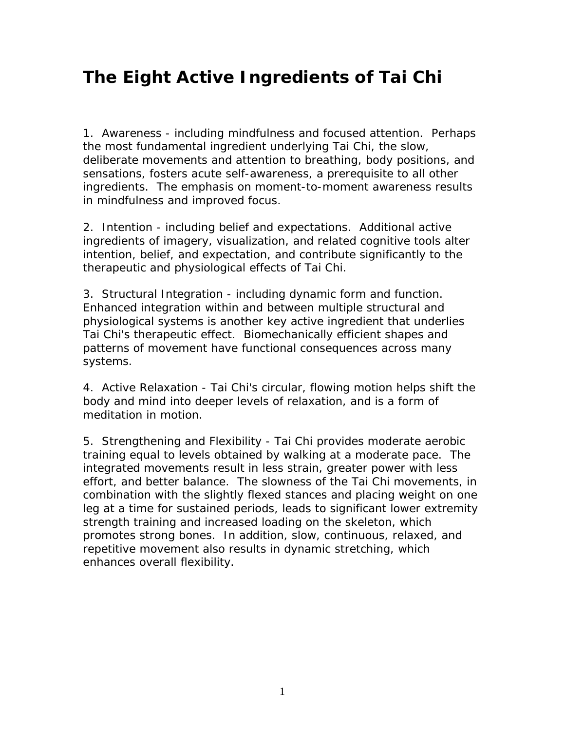## **The Eight Active Ingredients of Tai Chi**

1. Awareness - including mindfulness and focused attention. Perhaps the most fundamental ingredient underlying Tai Chi, the slow, deliberate movements and attention to breathing, body positions, and sensations, fosters acute self-awareness, a prerequisite to all other ingredients. The emphasis on moment-to-moment awareness results in mindfulness and improved focus.

2. Intention - including belief and expectations. Additional active ingredients of imagery, visualization, and related cognitive tools alter intention, belief, and expectation, and contribute significantly to the therapeutic and physiological effects of Tai Chi.

3. Structural Integration - including dynamic form and function. Enhanced integration within and between multiple structural and physiological systems is another key active ingredient that underlies Tai Chi's therapeutic effect. Biomechanically efficient shapes and patterns of movement have functional consequences across many systems.

4. Active Relaxation - Tai Chi's circular, flowing motion helps shift the body and mind into deeper levels of relaxation, and is a form of meditation in motion.

5. Strengthening and Flexibility - Tai Chi provides moderate aerobic training equal to levels obtained by walking at a moderate pace. The integrated movements result in less strain, greater power with less effort, and better balance. The slowness of the Tai Chi movements, in combination with the slightly flexed stances and placing weight on one leg at a time for sustained periods, leads to significant lower extremity strength training and increased loading on the skeleton, which promotes strong bones. In addition, slow, continuous, relaxed, and repetitive movement also results in dynamic stretching, which enhances overall flexibility.